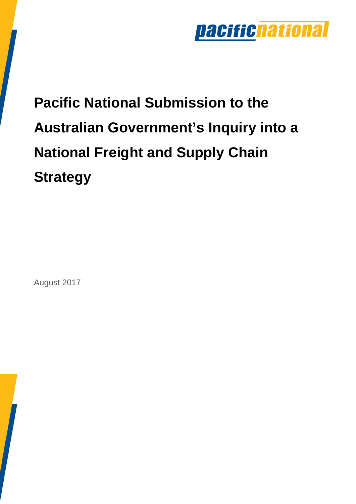

# **Pacific National Submission to the Australian Government's Inquiry into a National Freight and Supply Chain Strategy**

August 2017

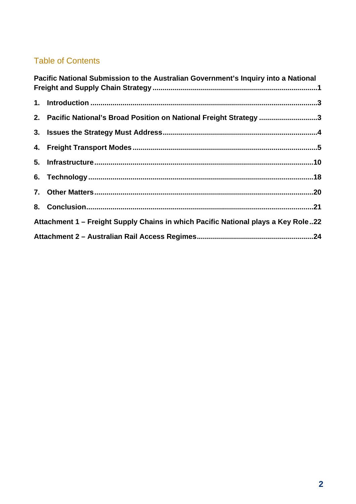### Table of Contents

|                                                                                   | Pacific National Submission to the Australian Government's Inquiry into a National |  |  |  |
|-----------------------------------------------------------------------------------|------------------------------------------------------------------------------------|--|--|--|
|                                                                                   |                                                                                    |  |  |  |
|                                                                                   | 2. Pacific National's Broad Position on National Freight Strategy 3                |  |  |  |
|                                                                                   |                                                                                    |  |  |  |
|                                                                                   |                                                                                    |  |  |  |
|                                                                                   |                                                                                    |  |  |  |
|                                                                                   |                                                                                    |  |  |  |
|                                                                                   |                                                                                    |  |  |  |
|                                                                                   |                                                                                    |  |  |  |
| Attachment 1 – Freight Supply Chains in which Pacific National plays a Key Role22 |                                                                                    |  |  |  |
|                                                                                   |                                                                                    |  |  |  |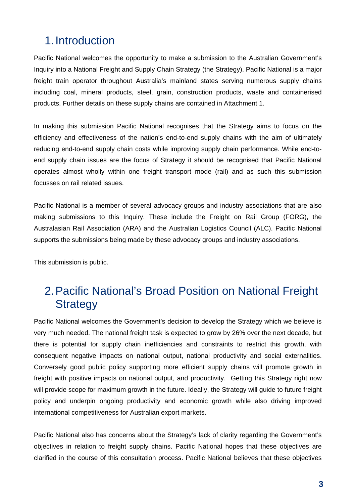# 1. Introduction

Pacific National welcomes the opportunity to make a submission to the Australian Government's Inquiry into a National Freight and Supply Chain Strategy (the Strategy). Pacific National is a major freight train operator throughout Australia's mainland states serving numerous supply chains including coal, mineral products, steel, grain, construction products, waste and containerised products. Further details on these supply chains are contained in Attachment 1.

In making this submission Pacific National recognises that the Strategy aims to focus on the efficiency and effectiveness of the nation's end-to-end supply chains with the aim of ultimately reducing end-to-end supply chain costs while improving supply chain performance. While end-toend supply chain issues are the focus of Strategy it should be recognised that Pacific National operates almost wholly within one freight transport mode (rail) and as such this submission focusses on rail related issues.

Pacific National is a member of several advocacy groups and industry associations that are also making submissions to this Inquiry. These include the Freight on Rail Group (FORG), the Australasian Rail Association (ARA) and the Australian Logistics Council (ALC). Pacific National supports the submissions being made by these advocacy groups and industry associations.

This submission is public.

# 2. Pacific National's Broad Position on National Freight **Strategy**

Pacific National welcomes the Government's decision to develop the Strategy which we believe is very much needed. The national freight task is expected to grow by 26% over the next decade, but there is potential for supply chain inefficiencies and constraints to restrict this growth, with consequent negative impacts on national output, national productivity and social externalities. Conversely good public policy supporting more efficient supply chains will promote growth in freight with positive impacts on national output, and productivity. Getting this Strategy right now will provide scope for maximum growth in the future. Ideally, the Strategy will guide to future freight policy and underpin ongoing productivity and economic growth while also driving improved international competitiveness for Australian export markets.

Pacific National also has concerns about the Strategy's lack of clarity regarding the Government's objectives in relation to freight supply chains. Pacific National hopes that these objectives are clarified in the course of this consultation process. Pacific National believes that these objectives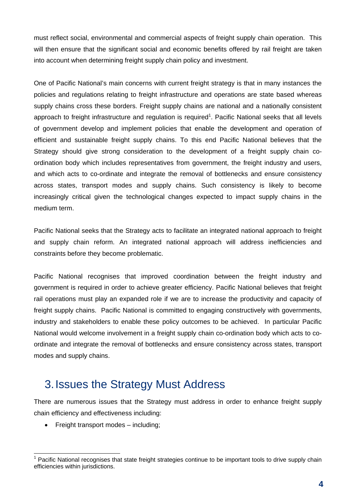must reflect social, environmental and commercial aspects of freight supply chain operation. This will then ensure that the significant social and economic benefits offered by rail freight are taken into account when determining freight supply chain policy and investment.

One of Pacific National's main concerns with current freight strategy is that in many instances the policies and regulations relating to freight infrastructure and operations are state based whereas supply chains cross these borders. Freight supply chains are national and a nationally consistent approach to freight infrastructure and regulation is required<sup>1</sup>. Pacific National seeks that all levels of government develop and implement policies that enable the development and operation of efficient and sustainable freight supply chains. To this end Pacific National believes that the Strategy should give strong consideration to the development of a freight supply chain coordination body which includes representatives from government, the freight industry and users, and which acts to co-ordinate and integrate the removal of bottlenecks and ensure consistency across states, transport modes and supply chains. Such consistency is likely to become increasingly critical given the technological changes expected to impact supply chains in the medium term.

Pacific National seeks that the Strategy acts to facilitate an integrated national approach to freight and supply chain reform. An integrated national approach will address inefficiencies and constraints before they become problematic.

Pacific National recognises that improved coordination between the freight industry and government is required in order to achieve greater efficiency. Pacific National believes that freight rail operations must play an expanded role if we are to increase the productivity and capacity of freight supply chains. Pacific National is committed to engaging constructively with governments, industry and stakeholders to enable these policy outcomes to be achieved. In particular Pacific National would welcome involvement in a freight supply chain co-ordination body which acts to coordinate and integrate the removal of bottlenecks and ensure consistency across states, transport modes and supply chains.

### 3. Issues the Strategy Must Address

There are numerous issues that the Strategy must address in order to enhance freight supply chain efficiency and effectiveness including:

• Freight transport modes – including;

 1 Pacific National recognises that state freight strategies continue to be important tools to drive supply chain efficiencies within jurisdictions.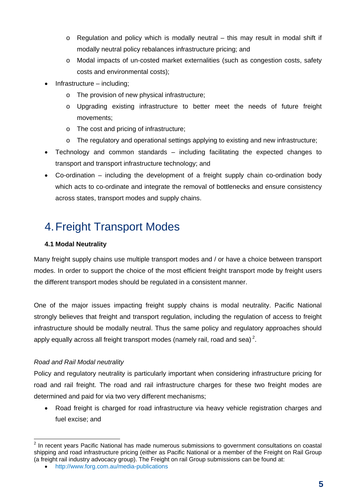- $\circ$  Regulation and policy which is modally neutral this may result in modal shift if modally neutral policy rebalances infrastructure pricing; and
- o Modal impacts of un-costed market externalities (such as congestion costs, safety costs and environmental costs);
- Infrastructure including;
	- o The provision of new physical infrastructure;
	- o Upgrading existing infrastructure to better meet the needs of future freight movements;
	- o The cost and pricing of infrastructure;
	- o The regulatory and operational settings applying to existing and new infrastructure;
- Technology and common standards including facilitating the expected changes to transport and transport infrastructure technology; and
- Co-ordination including the development of a freight supply chain co-ordination body which acts to co-ordinate and integrate the removal of bottlenecks and ensure consistency across states, transport modes and supply chains.

# 4. Freight Transport Modes

#### **4.1 Modal Neutrality**

Many freight supply chains use multiple transport modes and / or have a choice between transport modes. In order to support the choice of the most efficient freight transport mode by freight users the different transport modes should be regulated in a consistent manner.

One of the major issues impacting freight supply chains is modal neutrality. Pacific National strongly believes that freight and transport regulation, including the regulation of access to freight infrastructure should be modally neutral. Thus the same policy and regulatory approaches should apply equally across all freight transport modes (namely rail, road and sea)<sup>2</sup>.

#### *Road and Rail Modal neutrality*

Policy and regulatory neutrality is particularly important when considering infrastructure pricing for road and rail freight. The road and rail infrastructure charges for these two freight modes are determined and paid for via two very different mechanisms;

 Road freight is charged for road infrastructure via heavy vehicle registration charges and fuel excise; and

**EXECUS 2**<br><sup>2</sup> In recent years Pacific National has made numerous submissions to government consultations on coastal shipping and road infrastructure pricing (either as Pacific National or a member of the Freight on Rail Group (a freight rail industry advocacy group). The Freight on rail Group submissions can be found at:

http://www.forg.com.au/media-publications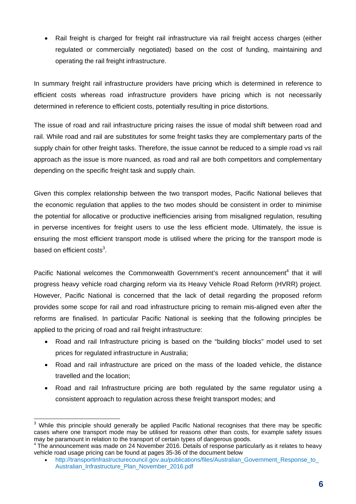Rail freight is charged for freight rail infrastructure via rail freight access charges (either regulated or commercially negotiated) based on the cost of funding, maintaining and operating the rail freight infrastructure.

In summary freight rail infrastructure providers have pricing which is determined in reference to efficient costs whereas road infrastructure providers have pricing which is not necessarily determined in reference to efficient costs, potentially resulting in price distortions.

The issue of road and rail infrastructure pricing raises the issue of modal shift between road and rail. While road and rail are substitutes for some freight tasks they are complementary parts of the supply chain for other freight tasks. Therefore, the issue cannot be reduced to a simple road vs rail approach as the issue is more nuanced, as road and rail are both competitors and complementary depending on the specific freight task and supply chain.

Given this complex relationship between the two transport modes, Pacific National believes that the economic regulation that applies to the two modes should be consistent in order to minimise the potential for allocative or productive inefficiencies arising from misaligned regulation, resulting in perverse incentives for freight users to use the less efficient mode. Ultimately, the issue is ensuring the most efficient transport mode is utilised where the pricing for the transport mode is based on efficient costs $^3$ .

Pacific National welcomes the Commonwealth Government's recent announcement<sup>4</sup> that it will progress heavy vehicle road charging reform via its Heavy Vehicle Road Reform (HVRR) project. However, Pacific National is concerned that the lack of detail regarding the proposed reform provides some scope for rail and road infrastructure pricing to remain mis-aligned even after the reforms are finalised. In particular Pacific National is seeking that the following principles be applied to the pricing of road and rail freight infrastructure:

- Road and rail Infrastructure pricing is based on the "building blocks" model used to set prices for regulated infrastructure in Australia;
- Road and rail infrastructure are priced on the mass of the loaded vehicle, the distance travelled and the location;
- Road and rail Infrastructure pricing are both regulated by the same regulator using a consistent approach to regulation across these freight transport modes; and

**EXENDED THE EXENT TO TE THE TE THE TE THE SET THE SHIPLE THE SHIPLE SHIPLE THE SHIPLE SHIPLE 3**<br>A While this principle should generally be applied Pacific National recognises that there may be specific cases where one transport mode may be utilised for reasons other than costs, for example safety issues may be paramount in relation to the transport of certain types of dangerous goods.

 $4$  The announcement was made on 24 November 2016. Details of response particularly as it relates to heavy vehicle road usage pricing can be found at pages 35-36 of the document below

http://transportinfrastructurecouncil.gov.au/publications/files/Australian\_Government\_Response\_to\_ Australian\_Infrastructure\_Plan\_November\_2016.pdf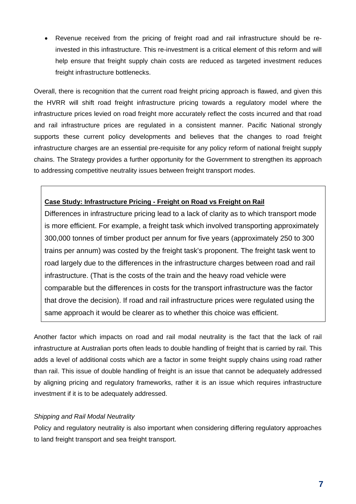Revenue received from the pricing of freight road and rail infrastructure should be reinvested in this infrastructure. This re-investment is a critical element of this reform and will help ensure that freight supply chain costs are reduced as targeted investment reduces freight infrastructure bottlenecks.

Overall, there is recognition that the current road freight pricing approach is flawed, and given this the HVRR will shift road freight infrastructure pricing towards a regulatory model where the infrastructure prices levied on road freight more accurately reflect the costs incurred and that road and rail infrastructure prices are regulated in a consistent manner. Pacific National strongly supports these current policy developments and believes that the changes to road freight infrastructure charges are an essential pre-requisite for any policy reform of national freight supply chains. The Strategy provides a further opportunity for the Government to strengthen its approach to addressing competitive neutrality issues between freight transport modes.

#### **Case Study: Infrastructure Pricing - Freight on Road vs Freight on Rail**

Differences in infrastructure pricing lead to a lack of clarity as to which transport mode is more efficient. For example, a freight task which involved transporting approximately 300,000 tonnes of timber product per annum for five years (approximately 250 to 300 trains per annum) was costed by the freight task's proponent. The freight task went to road largely due to the differences in the infrastructure charges between road and rail infrastructure. (That is the costs of the train and the heavy road vehicle were comparable but the differences in costs for the transport infrastructure was the factor that drove the decision). If road and rail infrastructure prices were regulated using the same approach it would be clearer as to whether this choice was efficient.

Another factor which impacts on road and rail modal neutrality is the fact that the lack of rail infrastructure at Australian ports often leads to double handling of freight that is carried by rail. This adds a level of additional costs which are a factor in some freight supply chains using road rather than rail. This issue of double handling of freight is an issue that cannot be adequately addressed by aligning pricing and regulatory frameworks, rather it is an issue which requires infrastructure investment if it is to be adequately addressed.

#### *Shipping and Rail Modal Neutrality*

Policy and regulatory neutrality is also important when considering differing regulatory approaches to land freight transport and sea freight transport.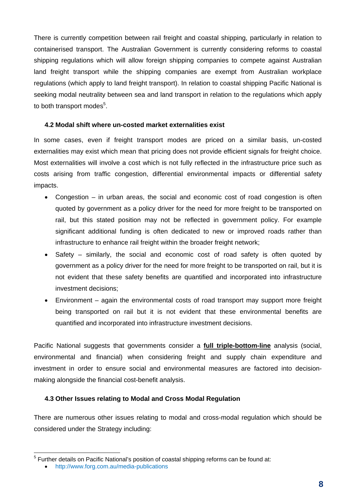There is currently competition between rail freight and coastal shipping, particularly in relation to containerised transport. The Australian Government is currently considering reforms to coastal shipping regulations which will allow foreign shipping companies to compete against Australian land freight transport while the shipping companies are exempt from Australian workplace regulations (which apply to land freight transport). In relation to coastal shipping Pacific National is seeking modal neutrality between sea and land transport in relation to the regulations which apply to both transport modes<sup>5</sup>.

#### **4.2 Modal shift where un-costed market externalities exist**

In some cases, even if freight transport modes are priced on a similar basis, un-costed externalities may exist which mean that pricing does not provide efficient signals for freight choice. Most externalities will involve a cost which is not fully reflected in the infrastructure price such as costs arising from traffic congestion, differential environmental impacts or differential safety impacts.

- Congestion in urban areas, the social and economic cost of road congestion is often quoted by government as a policy driver for the need for more freight to be transported on rail, but this stated position may not be reflected in government policy. For example significant additional funding is often dedicated to new or improved roads rather than infrastructure to enhance rail freight within the broader freight network;
- Safety similarly, the social and economic cost of road safety is often quoted by government as a policy driver for the need for more freight to be transported on rail, but it is not evident that these safety benefits are quantified and incorporated into infrastructure investment decisions;
- Environment again the environmental costs of road transport may support more freight being transported on rail but it is not evident that these environmental benefits are quantified and incorporated into infrastructure investment decisions.

Pacific National suggests that governments consider a **full triple-bottom-line** analysis (social, environmental and financial) when considering freight and supply chain expenditure and investment in order to ensure social and environmental measures are factored into decisionmaking alongside the financial cost-benefit analysis.

#### **4.3 Other Issues relating to Modal and Cross Modal Regulation**

There are numerous other issues relating to modal and cross-modal regulation which should be considered under the Strategy including:

<sup>&</sup>lt;sup>5</sup> Further details on Pacific National's position of coastal shipping reforms can be found at:

http://www.forg.com.au/media-publications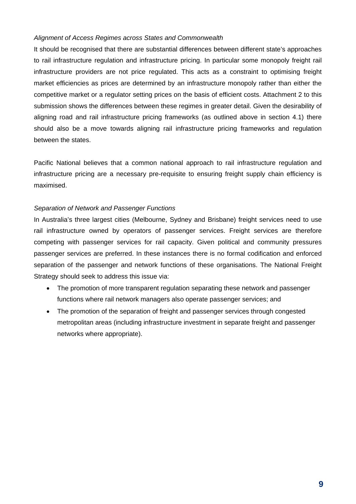#### *Alignment of Access Regimes across States and Commonwealth*

It should be recognised that there are substantial differences between different state's approaches to rail infrastructure regulation and infrastructure pricing. In particular some monopoly freight rail infrastructure providers are not price regulated. This acts as a constraint to optimising freight market efficiencies as prices are determined by an infrastructure monopoly rather than either the competitive market or a regulator setting prices on the basis of efficient costs. Attachment 2 to this submission shows the differences between these regimes in greater detail. Given the desirability of aligning road and rail infrastructure pricing frameworks (as outlined above in section 4.1) there should also be a move towards aligning rail infrastructure pricing frameworks and regulation between the states.

Pacific National believes that a common national approach to rail infrastructure regulation and infrastructure pricing are a necessary pre-requisite to ensuring freight supply chain efficiency is maximised.

#### *Separation of Network and Passenger Functions*

In Australia's three largest cities (Melbourne, Sydney and Brisbane) freight services need to use rail infrastructure owned by operators of passenger services. Freight services are therefore competing with passenger services for rail capacity. Given political and community pressures passenger services are preferred. In these instances there is no formal codification and enforced separation of the passenger and network functions of these organisations. The National Freight Strategy should seek to address this issue via:

- The promotion of more transparent regulation separating these network and passenger functions where rail network managers also operate passenger services; and
- The promotion of the separation of freight and passenger services through congested metropolitan areas (including infrastructure investment in separate freight and passenger networks where appropriate).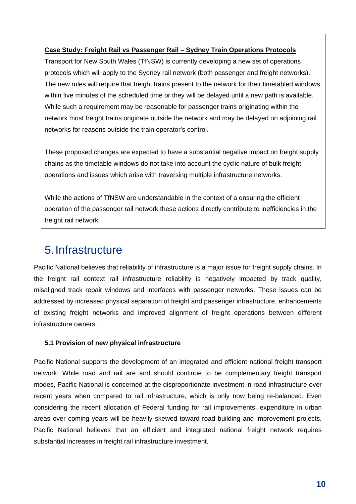#### **Case Study: Freight Rail vs Passenger Rail – Sydney Train Operations Protocols**

Transport for New South Wales (TfNSW) is currently developing a new set of operations protocols which will apply to the Sydney rail network (both passenger and freight networks). The new rules will require that freight trains present to the network for their timetabled windows within five minutes of the scheduled time or they will be delayed until a new path is available. While such a requirement may be reasonable for passenger trains originating within the network most freight trains originate outside the network and may be delayed on adjoining rail networks for reasons outside the train operator's control.

These proposed changes are expected to have a substantial negative impact on freight supply chains as the timetable windows do not take into account the cyclic nature of bulk freight operations and issues which arise with traversing multiple infrastructure networks.

While the actions of TfNSW are understandable in the context of a ensuring the efficient operation of the passenger rail network these actions directly contribute to inefficiencies in the freight rail network.

### 5. Infrastructure

Pacific National believes that reliability of infrastructure is a major issue for freight supply chains. In the freight rail context rail infrastructure reliability is negatively impacted by track quality, misaligned track repair windows and interfaces with passenger networks. These issues can be addressed by increased physical separation of freight and passenger infrastructure, enhancements of existing freight networks and improved alignment of freight operations between different infrastructure owners.

#### **5.1 Provision of new physical infrastructure**

Pacific National supports the development of an integrated and efficient national freight transport network. While road and rail are and should continue to be complementary freight transport modes, Pacific National is concerned at the disproportionate investment in road infrastructure over recent years when compared to rail infrastructure, which is only now being re-balanced. Even considering the recent allocation of Federal funding for rail improvements, expenditure in urban areas over coming years will be heavily skewed toward road building and improvement projects. Pacific National believes that an efficient and integrated national freight network requires substantial increases in freight rail infrastructure investment.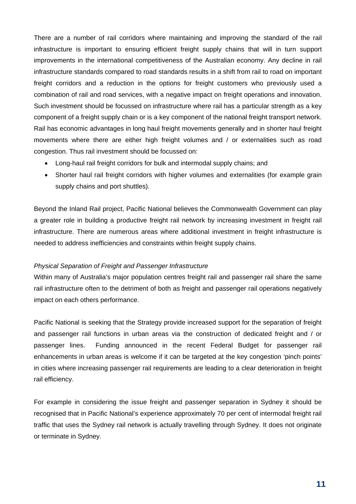There are a number of rail corridors where maintaining and improving the standard of the rail infrastructure is important to ensuring efficient freight supply chains that will in turn support improvements in the international competitiveness of the Australian economy. Any decline in rail infrastructure standards compared to road standards results in a shift from rail to road on important freight corridors and a reduction in the options for freight customers who previously used a combination of rail and road services, with a negative impact on freight operations and innovation. Such investment should be focussed on infrastructure where rail has a particular strength as a key component of a freight supply chain or is a key component of the national freight transport network. Rail has economic advantages in long haul freight movements generally and in shorter haul freight movements where there are either high freight volumes and / or externalities such as road congestion. Thus rail investment should be focussed on:

- Long-haul rail freight corridors for bulk and intermodal supply chains; and
- Shorter haul rail freight corridors with higher volumes and externalities (for example grain supply chains and port shuttles).

Beyond the Inland Rail project, Pacific National believes the Commonwealth Government can play a greater role in building a productive freight rail network by increasing investment in freight rail infrastructure. There are numerous areas where additional investment in freight infrastructure is needed to address inefficiencies and constraints within freight supply chains.

#### *Physical Separation of Freight and Passenger Infrastructure*

Within many of Australia's major population centres freight rail and passenger rail share the same rail infrastructure often to the detriment of both as freight and passenger rail operations negatively impact on each others performance.

Pacific National is seeking that the Strategy provide increased support for the separation of freight and passenger rail functions in urban areas via the construction of dedicated freight and / or passenger lines. Funding announced in the recent Federal Budget for passenger rail enhancements in urban areas is welcome if it can be targeted at the key congestion 'pinch points' in cities where increasing passenger rail requirements are leading to a clear deterioration in freight rail efficiency.

For example in considering the issue freight and passenger separation in Sydney it should be recognised that in Pacific National's experience approximately 70 per cent of intermodal freight rail traffic that uses the Sydney rail network is actually travelling through Sydney. It does not originate or terminate in Sydney.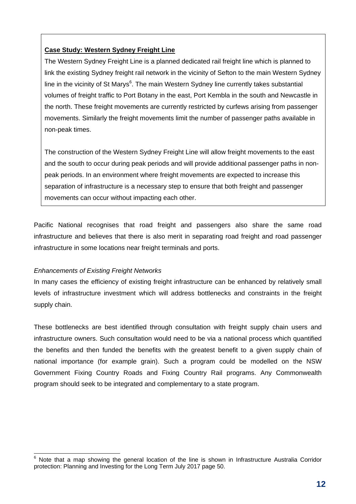#### **Case Study: Western Sydney Freight Line**

The Western Sydney Freight Line is a planned dedicated rail freight line which is planned to link the existing Sydney freight rail network in the vicinity of Sefton to the main Western Sydney line in the vicinity of St Marys<sup>6</sup>. The main Western Sydney line currently takes substantial volumes of freight traffic to Port Botany in the east, Port Kembla in the south and Newcastle in the north. These freight movements are currently restricted by curfews arising from passenger movements. Similarly the freight movements limit the number of passenger paths available in non-peak times.

The construction of the Western Sydney Freight Line will allow freight movements to the east and the south to occur during peak periods and will provide additional passenger paths in nonpeak periods. In an environment where freight movements are expected to increase this separation of infrastructure is a necessary step to ensure that both freight and passenger movements can occur without impacting each other.

Pacific National recognises that road freight and passengers also share the same road infrastructure and believes that there is also merit in separating road freight and road passenger infrastructure in some locations near freight terminals and ports.

#### *Enhancements of Existing Freight Networks*

In many cases the efficiency of existing freight infrastructure can be enhanced by relatively small levels of infrastructure investment which will address bottlenecks and constraints in the freight supply chain.

These bottlenecks are best identified through consultation with freight supply chain users and infrastructure owners. Such consultation would need to be via a national process which quantified the benefits and then funded the benefits with the greatest benefit to a given supply chain of national importance (for example grain). Such a program could be modelled on the NSW Government Fixing Country Roads and Fixing Country Rail programs. Any Commonwealth program should seek to be integrated and complementary to a state program.

**EXECTS**<br>6 Note that a map showing the general location of the line is shown in Infrastructure Australia Corridor protection: Planning and Investing for the Long Term July 2017 page 50.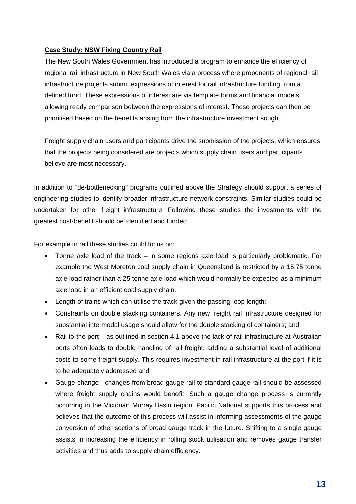#### **Case Study: NSW Fixing Country Rail**

The New South Wales Government has introduced a program to enhance the efficiency of regional rail infrastructure in New South Wales via a process where proponents of regional rail infrastructure projects submit expressions of interest for rail infrastructure funding from a defined fund. These expressions of interest are via template forms and financial models allowing ready comparison between the expressions of interest. These projects can then be prioritised based on the benefits arising from the infrastructure investment sought.

Freight supply chain users and participants drive the submission of the projects, which ensures that the projects being considered are projects which supply chain users and participants believe are most necessary.

In addition to "de-bottlenecking" programs outlined above the Strategy should support a series of engineering studies to identify broader infrastructure network constraints. Similar studies could be undertaken for other freight infrastructure. Following these studies the investments with the greatest cost-benefit should be identified and funded.

For example in rail these studies could focus on:

- Tonne axle load of the track in some regions axle load is particularly problematic. For example the West Moreton coal supply chain in Queensland is restricted by a 15.75 tonne axle load rather than a 25 tonne axle load which would normally be expected as a minimum axle load in an efficient coal supply chain.
- Length of trains which can utilise the track given the passing loop length;
- Constraints on double stacking containers. Any new freight rail infrastructure designed for substantial intermodal usage should allow for the double stacking of containers; and
- Rail to the port as outlined in section 4.1 above the lack of rail infrastructure at Australian ports often leads to double handling of rail freight, adding a substantial level of additional costs to some freight supply. This requires investment in rail infrastructure at the port if it is to be adequately addressed and
- Gauge change changes from broad gauge rail to standard gauge rail should be assessed where freight supply chains would benefit. Such a gauge change process is currently occurring in the Victorian Murray Basin region. Pacific National supports this process and believes that the outcome of this process will assist in informing assessments of the gauge conversion of other sections of broad gauge track in the future. Shifting to a single gauge assists in increasing the efficiency in rolling stock utilisation and removes gauge transfer activities and thus adds to supply chain efficiency.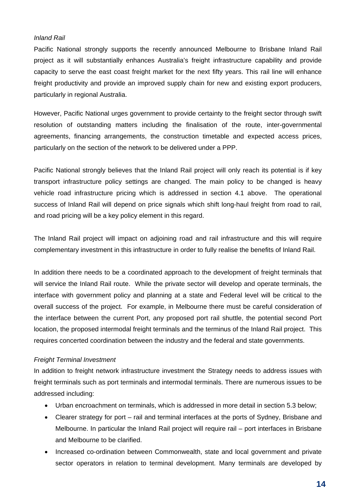#### *Inland Rail*

Pacific National strongly supports the recently announced Melbourne to Brisbane Inland Rail project as it will substantially enhances Australia's freight infrastructure capability and provide capacity to serve the east coast freight market for the next fifty years. This rail line will enhance freight productivity and provide an improved supply chain for new and existing export producers, particularly in regional Australia.

However, Pacific National urges government to provide certainty to the freight sector through swift resolution of outstanding matters including the finalisation of the route, inter-governmental agreements, financing arrangements, the construction timetable and expected access prices, particularly on the section of the network to be delivered under a PPP.

Pacific National strongly believes that the Inland Rail project will only reach its potential is if key transport infrastructure policy settings are changed. The main policy to be changed is heavy vehicle road infrastructure pricing which is addressed in section 4.1 above. The operational success of Inland Rail will depend on price signals which shift long-haul freight from road to rail, and road pricing will be a key policy element in this regard.

The Inland Rail project will impact on adjoining road and rail infrastructure and this will require complementary investment in this infrastructure in order to fully realise the benefits of Inland Rail.

In addition there needs to be a coordinated approach to the development of freight terminals that will service the Inland Rail route. While the private sector will develop and operate terminals, the interface with government policy and planning at a state and Federal level will be critical to the overall success of the project. For example, in Melbourne there must be careful consideration of the interface between the current Port, any proposed port rail shuttle, the potential second Port location, the proposed intermodal freight terminals and the terminus of the Inland Rail project. This requires concerted coordination between the industry and the federal and state governments.

#### *Freight Terminal Investment*

In addition to freight network infrastructure investment the Strategy needs to address issues with freight terminals such as port terminals and intermodal terminals. There are numerous issues to be addressed including:

- Urban encroachment on terminals, which is addressed in more detail in section 5.3 below;
- Clearer strategy for port rail and terminal interfaces at the ports of Sydney, Brisbane and Melbourne. In particular the Inland Rail project will require rail – port interfaces in Brisbane and Melbourne to be clarified.
- Increased co-ordination between Commonwealth, state and local government and private sector operators in relation to terminal development. Many terminals are developed by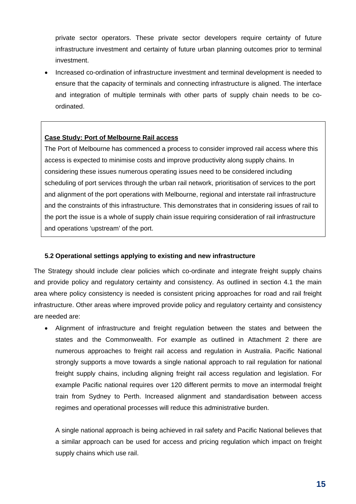private sector operators. These private sector developers require certainty of future infrastructure investment and certainty of future urban planning outcomes prior to terminal investment.

 Increased co-ordination of infrastructure investment and terminal development is needed to ensure that the capacity of terminals and connecting infrastructure is aligned. The interface and integration of multiple terminals with other parts of supply chain needs to be coordinated.

#### **Case Study: Port of Melbourne Rail access**

The Port of Melbourne has commenced a process to consider improved rail access where this access is expected to minimise costs and improve productivity along supply chains. In considering these issues numerous operating issues need to be considered including scheduling of port services through the urban rail network, prioritisation of services to the port and alignment of the port operations with Melbourne, regional and interstate rail infrastructure and the constraints of this infrastructure. This demonstrates that in considering issues of rail to the port the issue is a whole of supply chain issue requiring consideration of rail infrastructure and operations 'upstream' of the port.

#### **5.2 Operational settings applying to existing and new infrastructure**

The Strategy should include clear policies which co-ordinate and integrate freight supply chains and provide policy and regulatory certainty and consistency. As outlined in section 4.1 the main area where policy consistency is needed is consistent pricing approaches for road and rail freight infrastructure. Other areas where improved provide policy and regulatory certainty and consistency are needed are:

 Alignment of infrastructure and freight regulation between the states and between the states and the Commonwealth. For example as outlined in Attachment 2 there are numerous approaches to freight rail access and regulation in Australia. Pacific National strongly supports a move towards a single national approach to rail regulation for national freight supply chains, including aligning freight rail access regulation and legislation. For example Pacific national requires over 120 different permits to move an intermodal freight train from Sydney to Perth. Increased alignment and standardisation between access regimes and operational processes will reduce this administrative burden.

A single national approach is being achieved in rail safety and Pacific National believes that a similar approach can be used for access and pricing regulation which impact on freight supply chains which use rail.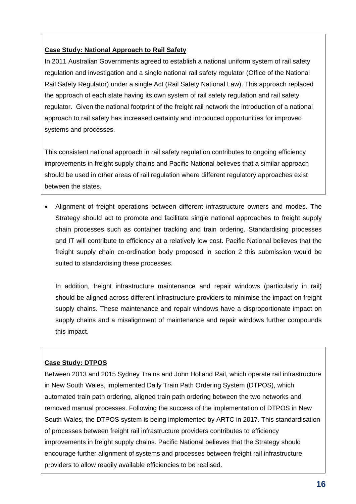#### **Case Study: National Approach to Rail Safety**

In 2011 Australian Governments agreed to establish a national uniform system of rail safety regulation and investigation and a single national rail safety regulator (Office of the National Rail Safety Regulator) under a single Act (Rail Safety National Law). This approach replaced the approach of each state having its own system of rail safety regulation and rail safety regulator. Given the national footprint of the freight rail network the introduction of a national approach to rail safety has increased certainty and introduced opportunities for improved systems and processes.

This consistent national approach in rail safety regulation contributes to ongoing efficiency improvements in freight supply chains and Pacific National believes that a similar approach should be used in other areas of rail regulation where different regulatory approaches exist between the states.

 Alignment of freight operations between different infrastructure owners and modes. The Strategy should act to promote and facilitate single national approaches to freight supply chain processes such as container tracking and train ordering. Standardising processes and IT will contribute to efficiency at a relatively low cost. Pacific National believes that the freight supply chain co-ordination body proposed in section 2 this submission would be suited to standardising these processes.

In addition, freight infrastructure maintenance and repair windows (particularly in rail) should be aligned across different infrastructure providers to minimise the impact on freight supply chains. These maintenance and repair windows have a disproportionate impact on supply chains and a misalignment of maintenance and repair windows further compounds this impact.

#### **Case Study: DTPOS**

Between 2013 and 2015 Sydney Trains and John Holland Rail, which operate rail infrastructure in New South Wales, implemented Daily Train Path Ordering System (DTPOS), which automated train path ordering, aligned train path ordering between the two networks and removed manual processes. Following the success of the implementation of DTPOS in New South Wales, the DTPOS system is being implemented by ARTC in 2017. This standardisation of processes between freight rail infrastructure providers contributes to efficiency improvements in freight supply chains. Pacific National believes that the Strategy should encourage further alignment of systems and processes between freight rail infrastructure providers to allow readily available efficiencies to be realised.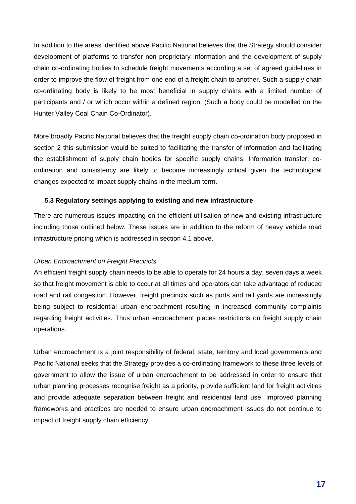In addition to the areas identified above Pacific National believes that the Strategy should consider development of platforms to transfer non proprietary information and the development of supply chain co-ordinating bodies to schedule freight movements according a set of agreed guidelines in order to improve the flow of freight from one end of a freight chain to another. Such a supply chain co-ordinating body is likely to be most beneficial in supply chains with a limited number of participants and / or which occur within a defined region. (Such a body could be modelled on the Hunter Valley Coal Chain Co-Ordinator).

More broadly Pacific National believes that the freight supply chain co-ordination body proposed in section 2 this submission would be suited to facilitating the transfer of information and facilitating the establishment of supply chain bodies for specific supply chains. Information transfer, coordination and consistency are likely to become increasingly critical given the technological changes expected to impact supply chains in the medium term.

#### **5.3 Regulatory settings applying to existing and new infrastructure**

There are numerous issues impacting on the efficient utilisation of new and existing infrastructure including those outlined below. These issues are in addition to the reform of heavy vehicle road infrastructure pricing which is addressed in section 4.1 above.

#### *Urban Encroachment on Freight Precincts*

An efficient freight supply chain needs to be able to operate for 24 hours a day, seven days a week so that freight movement is able to occur at all times and operators can take advantage of reduced road and rail congestion. However, freight precincts such as ports and rail yards are increasingly being subject to residential urban encroachment resulting in increased community complaints regarding freight activities. Thus urban encroachment places restrictions on freight supply chain operations.

Urban encroachment is a joint responsibility of federal, state, territory and local governments and Pacific National seeks that the Strategy provides a co-ordinating framework to these three levels of government to allow the issue of urban encroachment to be addressed in order to ensure that urban planning processes recognise freight as a priority, provide sufficient land for freight activities and provide adequate separation between freight and residential land use. Improved planning frameworks and practices are needed to ensure urban encroachment issues do not continue to impact of freight supply chain efficiency.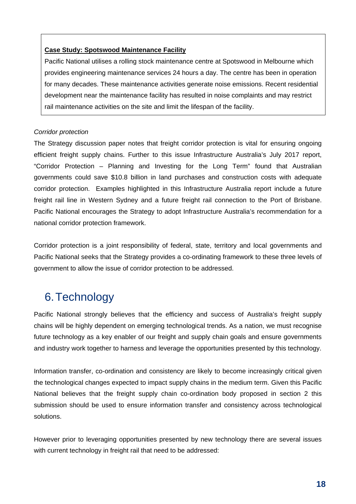#### **Case Study: Spotswood Maintenance Facility**

Pacific National utilises a rolling stock maintenance centre at Spotswood in Melbourne which provides engineering maintenance services 24 hours a day. The centre has been in operation for many decades. These maintenance activities generate noise emissions. Recent residential development near the maintenance facility has resulted in noise complaints and may restrict rail maintenance activities on the site and limit the lifespan of the facility.

#### *Corridor protection*

The Strategy discussion paper notes that freight corridor protection is vital for ensuring ongoing efficient freight supply chains. Further to this issue Infrastructure Australia's July 2017 report, "Corridor Protection – Planning and Investing for the Long Term" found that Australian governments could save \$10.8 billion in land purchases and construction costs with adequate corridor protection. Examples highlighted in this Infrastructure Australia report include a future freight rail line in Western Sydney and a future freight rail connection to the Port of Brisbane. Pacific National encourages the Strategy to adopt Infrastructure Australia's recommendation for a national corridor protection framework.

Corridor protection is a joint responsibility of federal, state, territory and local governments and Pacific National seeks that the Strategy provides a co-ordinating framework to these three levels of government to allow the issue of corridor protection to be addressed.

# 6. Technology

Pacific National strongly believes that the efficiency and success of Australia's freight supply chains will be highly dependent on emerging technological trends. As a nation, we must recognise future technology as a key enabler of our freight and supply chain goals and ensure governments and industry work together to harness and leverage the opportunities presented by this technology.

Information transfer, co-ordination and consistency are likely to become increasingly critical given the technological changes expected to impact supply chains in the medium term. Given this Pacific National believes that the freight supply chain co-ordination body proposed in section 2 this submission should be used to ensure information transfer and consistency across technological solutions.

However prior to leveraging opportunities presented by new technology there are several issues with current technology in freight rail that need to be addressed: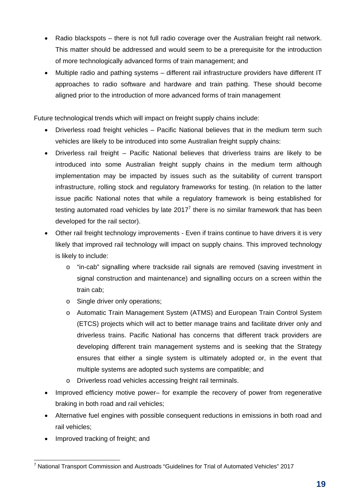- Radio blackspots there is not full radio coverage over the Australian freight rail network. This matter should be addressed and would seem to be a prerequisite for the introduction of more technologically advanced forms of train management; and
- Multiple radio and pathing systems different rail infrastructure providers have different IT approaches to radio software and hardware and train pathing. These should become aligned prior to the introduction of more advanced forms of train management

Future technological trends which will impact on freight supply chains include:

- Driverless road freight vehicles Pacific National believes that in the medium term such vehicles are likely to be introduced into some Australian freight supply chains:
- Driverless rail freight Pacific National believes that driverless trains are likely to be introduced into some Australian freight supply chains in the medium term although implementation may be impacted by issues such as the suitability of current transport infrastructure, rolling stock and regulatory frameworks for testing. (In relation to the latter issue pacific National notes that while a regulatory framework is being established for testing automated road vehicles by late 2017<sup>7</sup> there is no similar framework that has been developed for the rail sector).
- Other rail freight technology improvements Even if trains continue to have drivers it is very likely that improved rail technology will impact on supply chains. This improved technology is likely to include:
	- o "in-cab" signalling where trackside rail signals are removed (saving investment in signal construction and maintenance) and signalling occurs on a screen within the train cab;
	- o Single driver only operations;
	- o Automatic Train Management System (ATMS) and European Train Control System (ETCS) projects which will act to better manage trains and facilitate driver only and driverless trains. Pacific National has concerns that different track providers are developing different train management systems and is seeking that the Strategy ensures that either a single system is ultimately adopted or, in the event that multiple systems are adopted such systems are compatible; and
	- o Driverless road vehicles accessing freight rail terminals.
- Improved efficiency motive power– for example the recovery of power from regenerative braking in both road and rail vehicles;
- Alternative fuel engines with possible consequent reductions in emissions in both road and rail vehicles;
- Improved tracking of freight; and

 7 National Transport Commission and Austroads "Guidelines for Trial of Automated Vehicles" 2017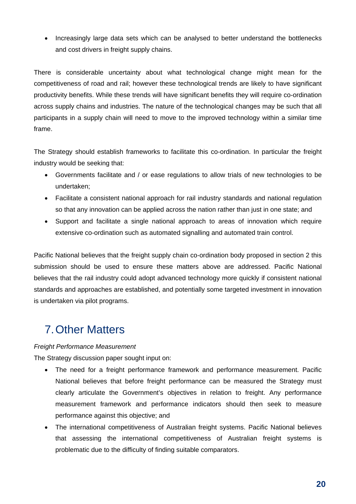• Increasingly large data sets which can be analysed to better understand the bottlenecks and cost drivers in freight supply chains.

There is considerable uncertainty about what technological change might mean for the competitiveness of road and rail; however these technological trends are likely to have significant productivity benefits. While these trends will have significant benefits they will require co-ordination across supply chains and industries. The nature of the technological changes may be such that all participants in a supply chain will need to move to the improved technology within a similar time frame.

The Strategy should establish frameworks to facilitate this co-ordination. In particular the freight industry would be seeking that:

- Governments facilitate and / or ease regulations to allow trials of new technologies to be undertaken;
- Facilitate a consistent national approach for rail industry standards and national regulation so that any innovation can be applied across the nation rather than just in one state; and
- Support and facilitate a single national approach to areas of innovation which require extensive co-ordination such as automated signalling and automated train control.

Pacific National believes that the freight supply chain co-ordination body proposed in section 2 this submission should be used to ensure these matters above are addressed. Pacific National believes that the rail industry could adopt advanced technology more quickly if consistent national standards and approaches are established, and potentially some targeted investment in innovation is undertaken via pilot programs.

# 7. Other Matters

#### *Freight Performance Measurement*

The Strategy discussion paper sought input on:

- The need for a freight performance framework and performance measurement. Pacific National believes that before freight performance can be measured the Strategy must clearly articulate the Government's objectives in relation to freight. Any performance measurement framework and performance indicators should then seek to measure performance against this objective; and
- The international competitiveness of Australian freight systems. Pacific National believes that assessing the international competitiveness of Australian freight systems is problematic due to the difficulty of finding suitable comparators.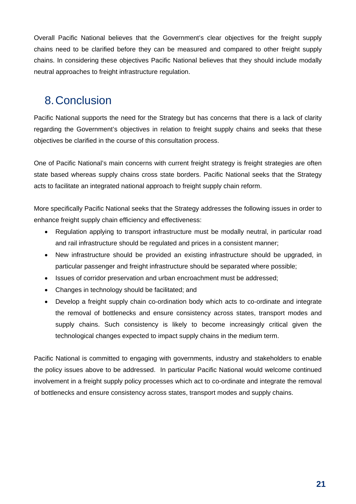Overall Pacific National believes that the Government's clear objectives for the freight supply chains need to be clarified before they can be measured and compared to other freight supply chains. In considering these objectives Pacific National believes that they should include modally neutral approaches to freight infrastructure regulation.

# 8. Conclusion

Pacific National supports the need for the Strategy but has concerns that there is a lack of clarity regarding the Government's objectives in relation to freight supply chains and seeks that these objectives be clarified in the course of this consultation process.

One of Pacific National's main concerns with current freight strategy is freight strategies are often state based whereas supply chains cross state borders. Pacific National seeks that the Strategy acts to facilitate an integrated national approach to freight supply chain reform.

More specifically Pacific National seeks that the Strategy addresses the following issues in order to enhance freight supply chain efficiency and effectiveness:

- Regulation applying to transport infrastructure must be modally neutral, in particular road and rail infrastructure should be regulated and prices in a consistent manner;
- New infrastructure should be provided an existing infrastructure should be upgraded, in particular passenger and freight infrastructure should be separated where possible;
- Issues of corridor preservation and urban encroachment must be addressed;
- Changes in technology should be facilitated; and
- Develop a freight supply chain co-ordination body which acts to co-ordinate and integrate the removal of bottlenecks and ensure consistency across states, transport modes and supply chains. Such consistency is likely to become increasingly critical given the technological changes expected to impact supply chains in the medium term.

Pacific National is committed to engaging with governments, industry and stakeholders to enable the policy issues above to be addressed. In particular Pacific National would welcome continued involvement in a freight supply policy processes which act to co-ordinate and integrate the removal of bottlenecks and ensure consistency across states, transport modes and supply chains.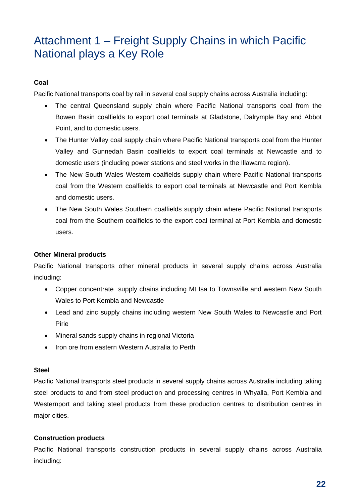# Attachment 1 – Freight Supply Chains in which Pacific National plays a Key Role

#### **Coal**

Pacific National transports coal by rail in several coal supply chains across Australia including:

- The central Queensland supply chain where Pacific National transports coal from the Bowen Basin coalfields to export coal terminals at Gladstone, Dalrymple Bay and Abbot Point, and to domestic users.
- The Hunter Valley coal supply chain where Pacific National transports coal from the Hunter Valley and Gunnedah Basin coalfields to export coal terminals at Newcastle and to domestic users (including power stations and steel works in the Illawarra region).
- The New South Wales Western coalfields supply chain where Pacific National transports coal from the Western coalfields to export coal terminals at Newcastle and Port Kembla and domestic users.
- The New South Wales Southern coalfields supply chain where Pacific National transports coal from the Southern coalfields to the export coal terminal at Port Kembla and domestic users.

#### **Other Mineral products**

Pacific National transports other mineral products in several supply chains across Australia including:

- Copper concentrate supply chains including Mt Isa to Townsville and western New South Wales to Port Kembla and Newcastle
- Lead and zinc supply chains including western New South Wales to Newcastle and Port Pirie
- Mineral sands supply chains in regional Victoria
- Iron ore from eastern Western Australia to Perth

#### **Steel**

Pacific National transports steel products in several supply chains across Australia including taking steel products to and from steel production and processing centres in Whyalla, Port Kembla and Westernport and taking steel products from these production centres to distribution centres in major cities.

#### **Construction products**

Pacific National transports construction products in several supply chains across Australia including: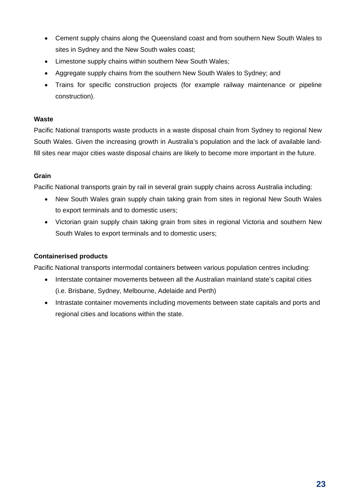- Cement supply chains along the Queensland coast and from southern New South Wales to sites in Sydney and the New South wales coast;
- Limestone supply chains within southern New South Wales;
- Aggregate supply chains from the southern New South Wales to Sydney; and
- Trains for specific construction projects (for example railway maintenance or pipeline construction).

#### **Waste**

Pacific National transports waste products in a waste disposal chain from Sydney to regional New South Wales. Given the increasing growth in Australia's population and the lack of available landfill sites near major cities waste disposal chains are likely to become more important in the future.

#### **Grain**

Pacific National transports grain by rail in several grain supply chains across Australia including:

- New South Wales grain supply chain taking grain from sites in regional New South Wales to export terminals and to domestic users;
- Victorian grain supply chain taking grain from sites in regional Victoria and southern New South Wales to export terminals and to domestic users;

#### **Containerised products**

Pacific National transports intermodal containers between various population centres including:

- Interstate container movements between all the Australian mainland state's capital cities (i.e. Brisbane, Sydney, Melbourne, Adelaide and Perth)
- Intrastate container movements including movements between state capitals and ports and regional cities and locations within the state.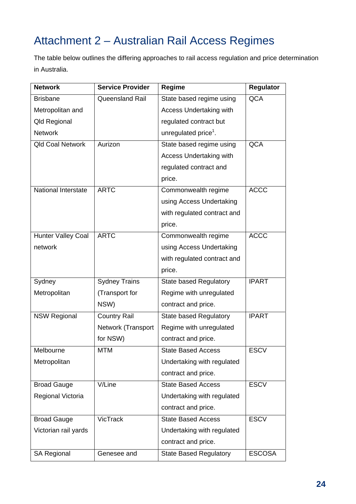# Attachment 2 – Australian Rail Access Regimes

The table below outlines the differing approaches to rail access regulation and price determination in Australia.

| <b>Network</b>             | <b>Service Provider</b> | Regime                           | <b>Regulator</b> |
|----------------------------|-------------------------|----------------------------------|------------------|
| <b>Brisbane</b>            | Queensland Rail         | State based regime using         | <b>QCA</b>       |
| Metropolitan and           |                         | <b>Access Undertaking with</b>   |                  |
| <b>Qld Regional</b>        |                         | regulated contract but           |                  |
| <b>Network</b>             |                         | unregulated price <sup>1</sup> . |                  |
| <b>Qld Coal Network</b>    | Aurizon                 | State based regime using         | <b>QCA</b>       |
|                            |                         | Access Undertaking with          |                  |
|                            |                         | regulated contract and           |                  |
|                            |                         | price.                           |                  |
| <b>National Interstate</b> | <b>ARTC</b>             | Commonwealth regime              | <b>ACCC</b>      |
|                            |                         | using Access Undertaking         |                  |
|                            |                         | with regulated contract and      |                  |
|                            |                         | price.                           |                  |
| <b>Hunter Valley Coal</b>  | <b>ARTC</b>             | Commonwealth regime              | <b>ACCC</b>      |
| network                    |                         | using Access Undertaking         |                  |
|                            |                         | with regulated contract and      |                  |
|                            |                         | price.                           |                  |
| Sydney                     | <b>Sydney Trains</b>    | <b>State based Regulatory</b>    | <b>IPART</b>     |
| Metropolitan               | (Transport for          | Regime with unregulated          |                  |
|                            | NSW)                    | contract and price.              |                  |
| <b>NSW Regional</b>        | <b>Country Rail</b>     | <b>State based Regulatory</b>    | <b>IPART</b>     |
|                            | Network (Transport      | Regime with unregulated          |                  |
|                            | for NSW)                | contract and price.              |                  |
| Melbourne                  | <b>MTM</b>              | <b>State Based Access</b>        | <b>ESCV</b>      |
| Metropolitan               |                         | Undertaking with regulated       |                  |
|                            |                         | contract and price.              |                  |
| <b>Broad Gauge</b>         | V/Line                  | <b>State Based Access</b>        | <b>ESCV</b>      |
| Regional Victoria          |                         | Undertaking with regulated       |                  |
|                            |                         | contract and price.              |                  |
| <b>Broad Gauge</b>         | VicTrack                | <b>State Based Access</b>        | <b>ESCV</b>      |
| Victorian rail yards       |                         | Undertaking with regulated       |                  |
|                            |                         | contract and price.              |                  |
| <b>SA Regional</b>         | Genesee and             | <b>State Based Regulatory</b>    | <b>ESCOSA</b>    |